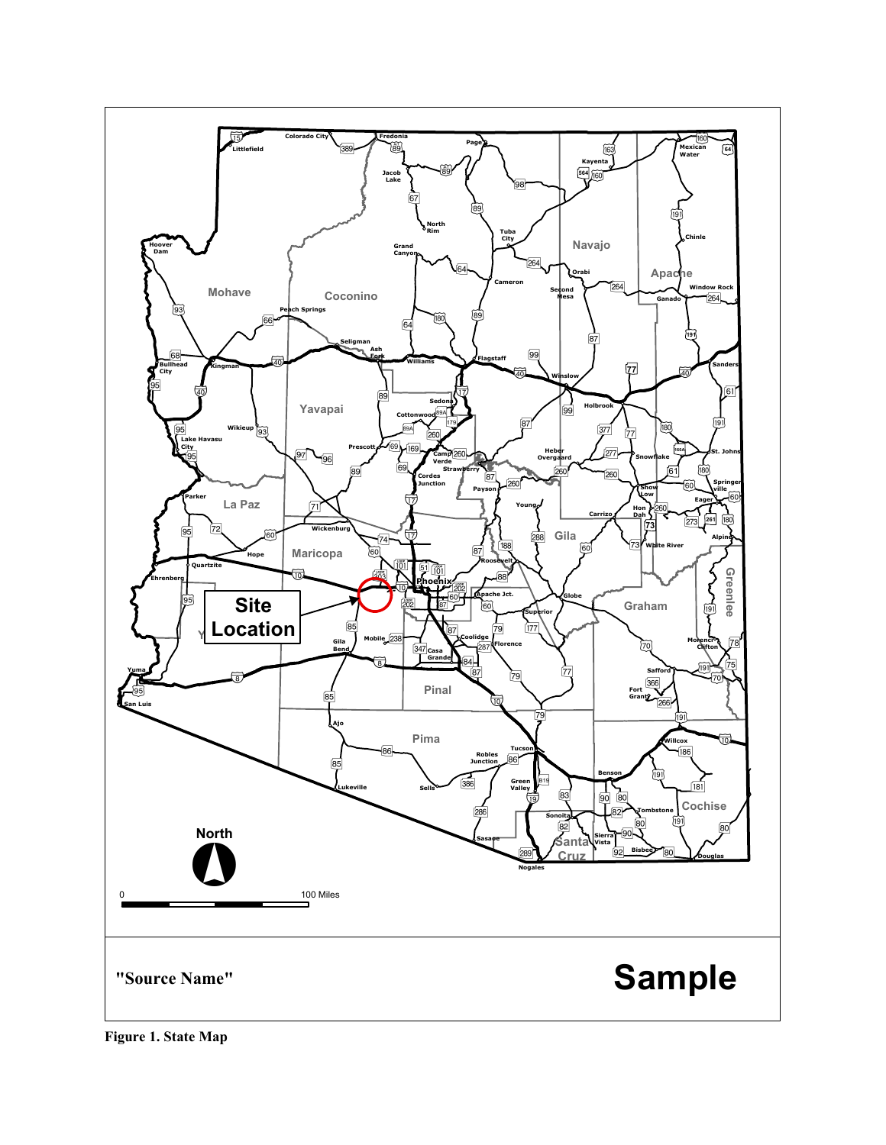

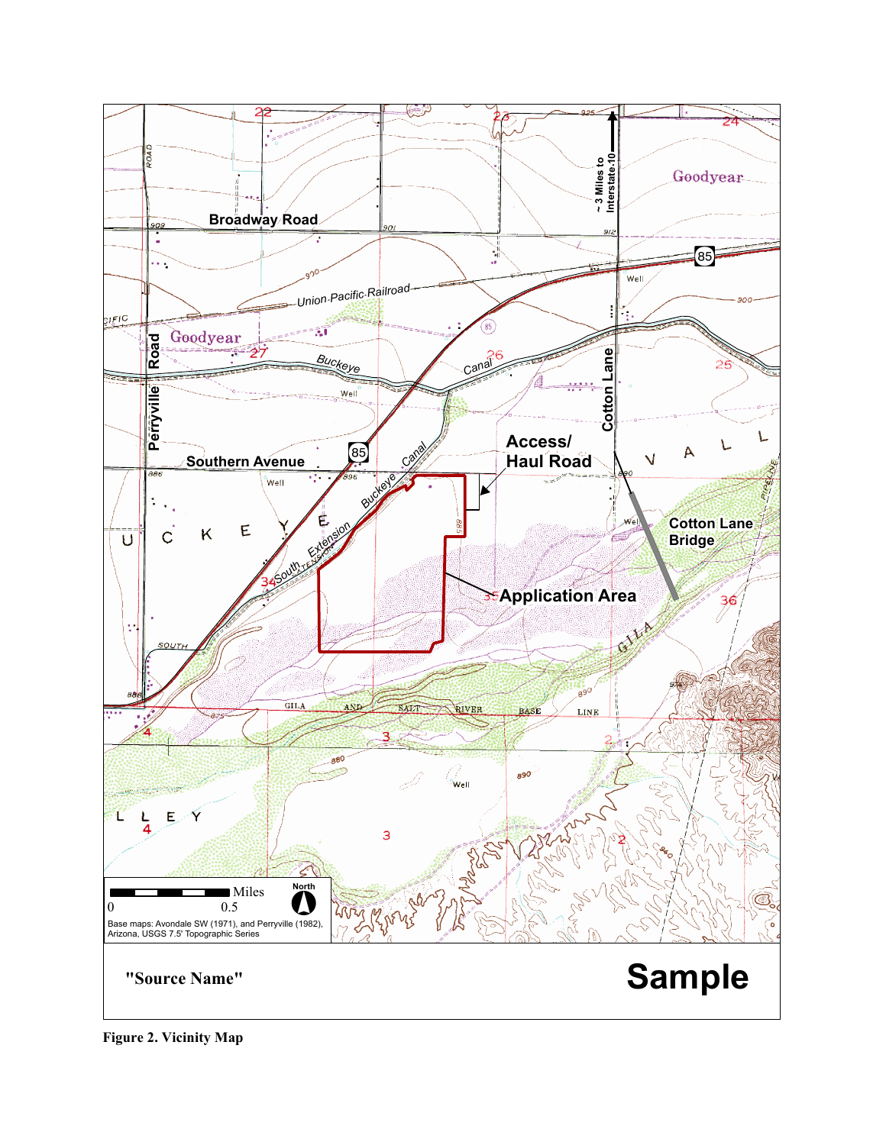

**Figure 2. Vicinity Map**